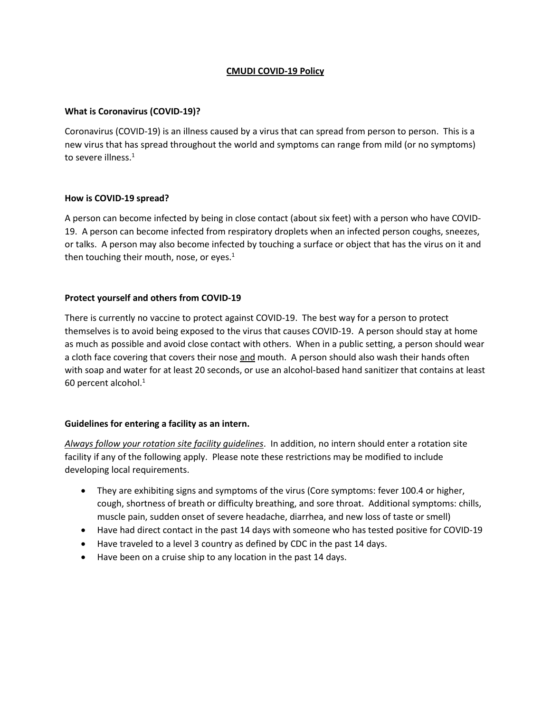# **CMUDI COVID-19 Policy**

## **What is Coronavirus (COVID-19)?**

Coronavirus (COVID-19) is an illness caused by a virus that can spread from person to person. This is a new virus that has spread throughout the world and symptoms can range from mild (or no symptoms) to severe illness.<sup>1</sup>

## **How is COVID-19 spread?**

A person can become infected by being in close contact (about six feet) with a person who have COVID-19. A person can become infected from respiratory droplets when an infected person coughs, sneezes, or talks. A person may also become infected by touching a surface or object that has the virus on it and then touching their mouth, nose, or eyes. $<sup>1</sup>$ </sup>

# **Protect yourself and others from COVID-19**

There is currently no vaccine to protect against COVID-19. The best way for a person to protect themselves is to avoid being exposed to the virus that causes COVID-19. A person should stay at home as much as possible and avoid close contact with others. When in a public setting, a person should wear a cloth face covering that covers their nose and mouth. A person should also wash their hands often with soap and water for at least 20 seconds, or use an alcohol-based hand sanitizer that contains at least 60 percent alcohol. $1$ 

## **Guidelines for entering a facility as an intern.**

*Always follow your rotation site facility guidelines*. In addition, no intern should enter a rotation site facility if any of the following apply. Please note these restrictions may be modified to include developing local requirements.

- They are exhibiting signs and symptoms of the virus (Core symptoms: fever 100.4 or higher, cough, shortness of breath or difficulty breathing, and sore throat. Additional symptoms: chills, muscle pain, sudden onset of severe headache, diarrhea, and new loss of taste or smell)
- Have had direct contact in the past 14 days with someone who has tested positive for COVID-19
- Have traveled to a level 3 country as defined by CDC in the past 14 days.
- Have been on a cruise ship to any location in the past 14 days.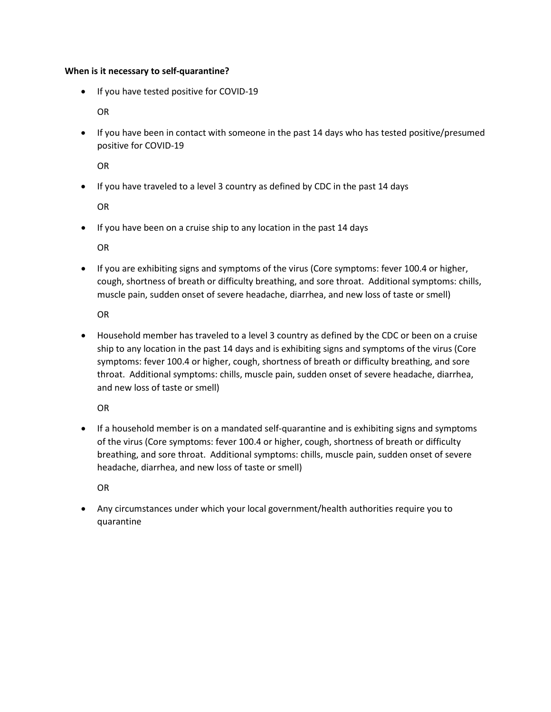#### **When is it necessary to self-quarantine?**

• If you have tested positive for COVID-19

OR

• If you have been in contact with someone in the past 14 days who has tested positive/presumed positive for COVID-19

OR

• If you have traveled to a level 3 country as defined by CDC in the past 14 days

OR

• If you have been on a cruise ship to any location in the past 14 days

OR

• If you are exhibiting signs and symptoms of the virus (Core symptoms: fever 100.4 or higher, cough, shortness of breath or difficulty breathing, and sore throat. Additional symptoms: chills, muscle pain, sudden onset of severe headache, diarrhea, and new loss of taste or smell)

OR

• Household member has traveled to a level 3 country as defined by the CDC or been on a cruise ship to any location in the past 14 days and is exhibiting signs and symptoms of the virus (Core symptoms: fever 100.4 or higher, cough, shortness of breath or difficulty breathing, and sore throat. Additional symptoms: chills, muscle pain, sudden onset of severe headache, diarrhea, and new loss of taste or smell)

OR

• If a household member is on a mandated self-quarantine and is exhibiting signs and symptoms of the virus (Core symptoms: fever 100.4 or higher, cough, shortness of breath or difficulty breathing, and sore throat. Additional symptoms: chills, muscle pain, sudden onset of severe headache, diarrhea, and new loss of taste or smell)

OR

• Any circumstances under which your local government/health authorities require you to quarantine